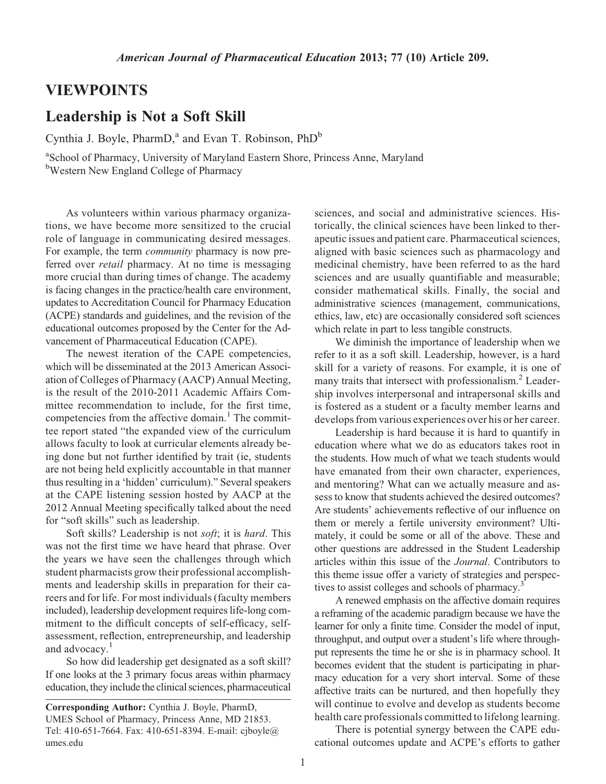## VIEWPOINTS

## Leadership is Not a Soft Skill

Cynthia J. Boyle, PharmD,<sup>a</sup> and Evan T. Robinson,  $PhD^b$ 

<sup>a</sup>School of Pharmacy, University of Maryland Eastern Shore, Princess Anne, Maryland **b**Western New England College of Pharmacy

As volunteers within various pharmacy organizations, we have become more sensitized to the crucial role of language in communicating desired messages. For example, the term community pharmacy is now preferred over retail pharmacy. At no time is messaging more crucial than during times of change. The academy is facing changes in the practice/health care environment, updates to Accreditation Council for Pharmacy Education (ACPE) standards and guidelines, and the revision of the educational outcomes proposed by the Center for the Advancement of Pharmaceutical Education (CAPE).

The newest iteration of the CAPE competencies, which will be disseminated at the 2013 American Association of Colleges of Pharmacy (AACP) Annual Meeting, is the result of the 2010-2011 Academic Affairs Committee recommendation to include, for the first time, competencies from the affective domain.<sup>1</sup> The committee report stated "the expanded view of the curriculum allows faculty to look at curricular elements already being done but not further identified by trait (ie, students are not being held explicitly accountable in that manner thus resulting in a 'hidden' curriculum)." Several speakers at the CAPE listening session hosted by AACP at the 2012 Annual Meeting specifically talked about the need for "soft skills" such as leadership.

Soft skills? Leadership is not soft; it is hard. This was not the first time we have heard that phrase. Over the years we have seen the challenges through which student pharmacists grow their professional accomplishments and leadership skills in preparation for their careers and for life. For most individuals (faculty members included), leadership development requires life-long commitment to the difficult concepts of self-efficacy, selfassessment, reflection, entrepreneurship, and leadership and advocacy.<sup>1</sup>

So how did leadership get designated as a soft skill? If one looks at the 3 primary focus areas within pharmacy education, they include the clinical sciences, pharmaceutical

Corresponding Author: Cynthia J. Boyle, PharmD, UMES School of Pharmacy, Princess Anne, MD 21853. Tel: 410-651-7664. Fax: 410-651-8394. E-mail: cjboyle@ umes.edu

sciences, and social and administrative sciences. Historically, the clinical sciences have been linked to therapeutic issues and patient care. Pharmaceutical sciences, aligned with basic sciences such as pharmacology and medicinal chemistry, have been referred to as the hard sciences and are usually quantifiable and measurable; consider mathematical skills. Finally, the social and administrative sciences (management, communications, ethics, law, etc) are occasionally considered soft sciences which relate in part to less tangible constructs.

We diminish the importance of leadership when we refer to it as a soft skill. Leadership, however, is a hard skill for a variety of reasons. For example, it is one of many traits that intersect with professionalism.<sup>2</sup> Leadership involves interpersonal and intrapersonal skills and is fostered as a student or a faculty member learns and develops from various experiences over his or her career.

Leadership is hard because it is hard to quantify in education where what we do as educators takes root in the students. How much of what we teach students would have emanated from their own character, experiences, and mentoring? What can we actually measure and assess to know that students achieved the desired outcomes? Are students' achievements reflective of our influence on them or merely a fertile university environment? Ultimately, it could be some or all of the above. These and other questions are addressed in the Student Leadership articles within this issue of the Journal. Contributors to this theme issue offer a variety of strategies and perspectives to assist colleges and schools of pharmacy.<sup>3</sup>

A renewed emphasis on the affective domain requires a reframing of the academic paradigm because we have the learner for only a finite time. Consider the model of input, throughput, and output over a student's life where throughput represents the time he or she is in pharmacy school. It becomes evident that the student is participating in pharmacy education for a very short interval. Some of these affective traits can be nurtured, and then hopefully they will continue to evolve and develop as students become health care professionals committed to lifelong learning.

There is potential synergy between the CAPE educational outcomes update and ACPE's efforts to gather